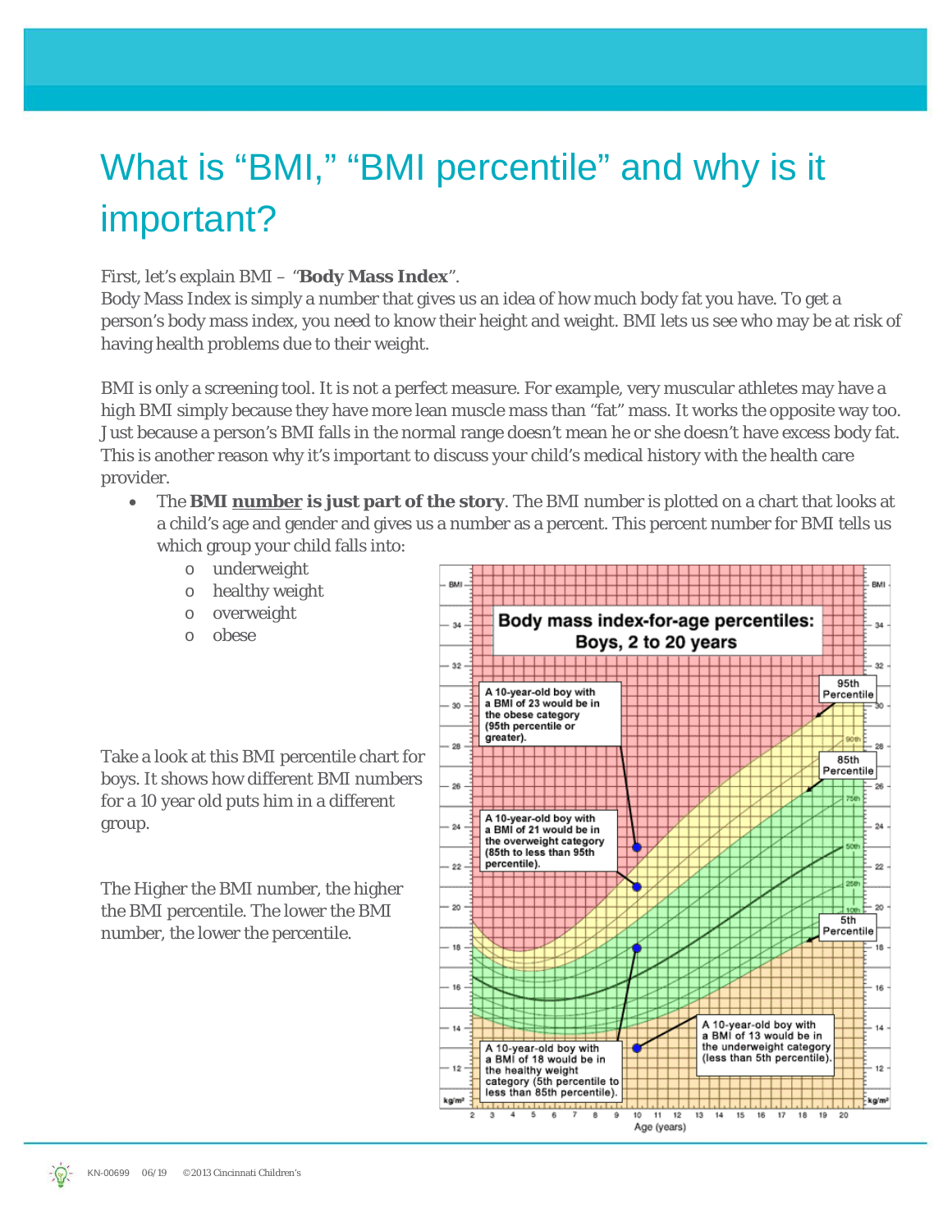## What is "BMI," "BMI percentile" and why is it important?

## First, let's explain BMI – "**Body Mass Index**".

Body Mass Index is simply a number that gives us an idea of how much body fat you have. To get a person's body mass index, you need to know their height and weight. BMI lets us see who may be at risk of having health problems due to their weight.

BMI is only a screening tool. It is not a perfect measure. For example, very muscular athletes may have a *high* BMI simply because they have more lean muscle mass than "fat" mass. It works the opposite way too. Just because a person's BMI falls in the normal range *doesn't* mean he or she doesn't have excess body fat. This is another reason why it's important to discuss your child's medical history with the health care provider.

- The **BMI number is just part of the story**. The BMI number is plotted on a chart that looks at a child's age and gender and gives us a number as a percent. This percent number for BMI tells us which group your child falls into:
	- o underweight
	- o healthy weight
	- o overweight
	- o obese

Take a look at this BMI percentile chart for boys. It shows how different BMI numbers for a 10 year old puts him in a different group.

The Higher the BMI number, the higher the BMI percentile. The lower the BMI number, the lower the percentile.